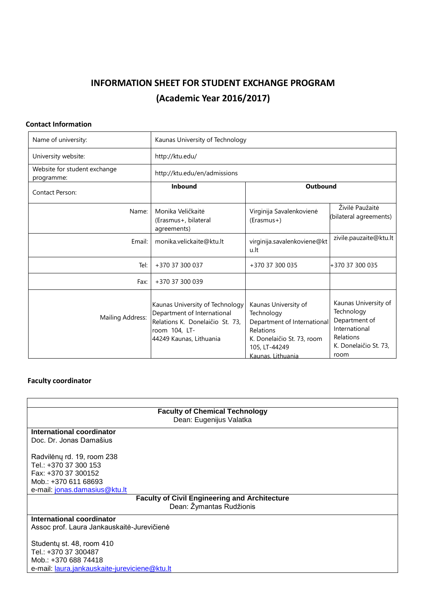# **INFORMATION SHEET FOR STUDENT EXCHANGE PROGRAM (Academic Year 2016/2017)**

## **Contact Information**

| Name of university:                        | Kaunas University of Technology                                                                                                               |                                                                                                                                                    |                                                                                                                    |
|--------------------------------------------|-----------------------------------------------------------------------------------------------------------------------------------------------|----------------------------------------------------------------------------------------------------------------------------------------------------|--------------------------------------------------------------------------------------------------------------------|
| University website:                        | http://ktu.edu/                                                                                                                               |                                                                                                                                                    |                                                                                                                    |
| Website for student exchange<br>programme: | http://ktu.edu/en/admissions                                                                                                                  |                                                                                                                                                    |                                                                                                                    |
| Contact Person:                            | Inbound                                                                                                                                       | Outbound                                                                                                                                           |                                                                                                                    |
| Name:                                      | Monika Veličkaitė<br>(Erasmus+, bilateral<br>agreements)                                                                                      | Virginija Savalenkovienė<br>(Erasmus+)                                                                                                             | Živilė Paužaitė<br>(bilateral agreements)                                                                          |
| Email:                                     | monika.velickaite@ktu.lt                                                                                                                      | virginija.savalenkoviene@kt<br>u.lt                                                                                                                | zivile.pauzaite@ktu.lt                                                                                             |
| Tel:                                       | +370 37 300 037                                                                                                                               | +370 37 300 035                                                                                                                                    | +370 37 300 035                                                                                                    |
| Fax:                                       | +370 37 300 039                                                                                                                               |                                                                                                                                                    |                                                                                                                    |
| Mailing Address:                           | Kaunas University of Technology<br>Department of International<br>Relations K. Donelaičio St. 73,<br>room 104, LT-<br>44249 Kaunas, Lithuania | Kaunas University of<br>Technology<br>Department of International<br>Relations<br>K. Donelaičio St. 73, room<br>105, LT-44249<br>Kaunas, Lithuania | Kaunas University of<br>Technology<br>Department of<br>International<br>Relations<br>K. Donelaičio St. 73,<br>room |

## **Faculty coordinator**

| <b>Faculty of Chemical Technology</b>                |  |
|------------------------------------------------------|--|
| Dean: Eugenijus Valatka                              |  |
|                                                      |  |
| International coordinator                            |  |
| Doc. Dr. Jonas Damašius                              |  |
|                                                      |  |
| Radvilėnų rd. 19, room 238                           |  |
| Tel.: +370 37 300 153                                |  |
| Fax: +370 37 300152                                  |  |
| Mob.: +370 611 68693                                 |  |
| e-mail: jonas.damasius@ktu.lt                        |  |
| <b>Faculty of Civil Engineering and Architecture</b> |  |
| Dean: Žymantas Rudžionis                             |  |
| International coordinator                            |  |
| Assoc prof. Laura Jankauskaitė-Jurevičienė           |  |
|                                                      |  |
| Studenty st. 48, room 410                            |  |
| Tel.: +370 37 300487                                 |  |
| Mob.: +370 688 74418                                 |  |
| e-mail: laura.jankauskaite-jureviciene@ktu.lt        |  |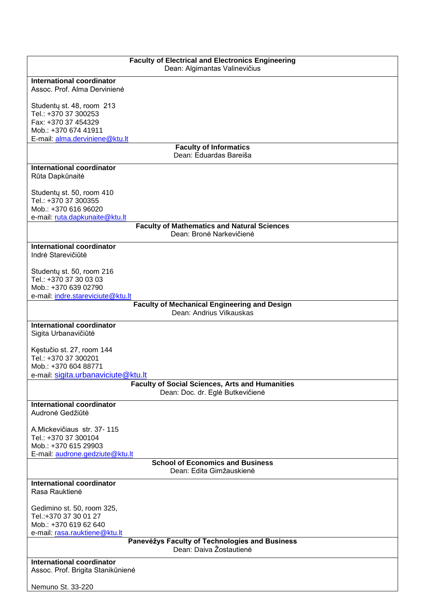| <b>Faculty of Electrical and Electronics Engineering</b>                  |  |
|---------------------------------------------------------------------------|--|
| Dean: Algimantas Valinevičius                                             |  |
| <b>International coordinator</b><br>Assoc. Prof. Alma Dervinienė          |  |
|                                                                           |  |
| Studenty st. 48, room 213                                                 |  |
| Tel.: +370 37 300253                                                      |  |
| Fax: +370 37 454329                                                       |  |
| Mob.: +370 674 41911<br>E-mail: alma.derviniene@ktu.lt                    |  |
| <b>Faculty of Informatics</b>                                             |  |
| Dean: Eduardas Bareiša                                                    |  |
| <b>International coordinator</b>                                          |  |
| Rūta Dapkūnaitė                                                           |  |
|                                                                           |  |
| Studenty st. 50, room 410<br>Tel.: +370 37 300355                         |  |
| Mob.: +370 616 96020                                                      |  |
| e-mail: ruta.dapkunaite@ktu.lt                                            |  |
| <b>Faculty of Mathematics and Natural Sciences</b>                        |  |
| Dean: Bronė Narkevičienė                                                  |  |
| <b>International coordinator</b>                                          |  |
| Indrė Starevičiūtė                                                        |  |
|                                                                           |  |
| Studenty st. 50, room 216<br>Tel.: +370 37 30 03 03                       |  |
| Mob.: +370 639 02790                                                      |  |
| e-mail: indre.stareviciute@ktu.lt                                         |  |
| <b>Faculty of Mechanical Engineering and Design</b>                       |  |
| Dean: Andrius Vilkauskas                                                  |  |
| <b>International coordinator</b>                                          |  |
| Sigita Urbanavičiūtė                                                      |  |
| Kęstučio st. 27, room 144                                                 |  |
| Tel.: +370 37 300201                                                      |  |
| Mob.: +370 604 88771                                                      |  |
| e-mail: sigita.urbanaviciute@ktu.lt                                       |  |
| <b>Faculty of Social Sciences, Arts and Humanities</b>                    |  |
| Dean: Doc. dr. Eglė Butkevičienė                                          |  |
| <b>International coordinator</b>                                          |  |
| Audronė Gedžiūtė                                                          |  |
| A. Mickevičiaus str. 37-115                                               |  |
| Tel.: +370 37 300104                                                      |  |
| Mob.: +370 615 29903                                                      |  |
| E-mail: audrone.gedziute@ktu.lt                                           |  |
| <b>School of Economics and Business</b><br>Dean: Edita Gimžauskienė       |  |
|                                                                           |  |
| <b>International coordinator</b><br>Rasa Rauktienė                        |  |
|                                                                           |  |
| Gedimino st. 50, room 325,                                                |  |
| Tel.:+370 37 30 01 27                                                     |  |
| Mob.: +370 619 62 640                                                     |  |
| e-mail: rasa.rauktiene@ktu.lt                                             |  |
| Panevėžys Faculty of Technologies and Business<br>Dean: Daiva Žostautienė |  |
| <b>International coordinator</b>                                          |  |
| Assoc. Prof. Brigita Stanikūnienė                                         |  |
|                                                                           |  |
| Nemuno St. 33-220                                                         |  |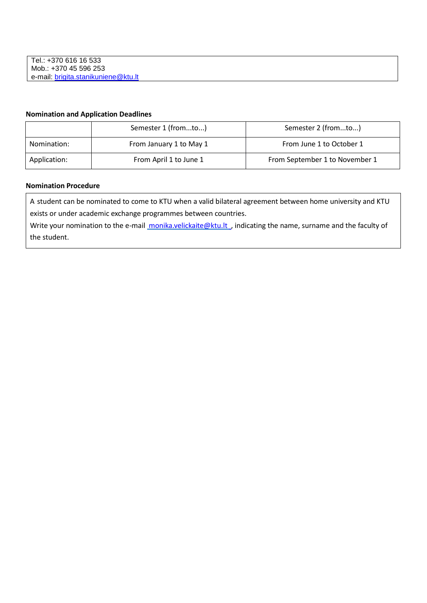## **Nomination and Application Deadlines**

|              | Semester 1 (fromto)     | Semester 2 (fromto)            |
|--------------|-------------------------|--------------------------------|
| Nomination:  | From January 1 to May 1 | From June 1 to October 1       |
| Application: | From April 1 to June 1  | From September 1 to November 1 |

#### **Nomination Procedure**

A student can be nominated to come to KTU when a valid bilateral agreement between home university and KTU exists or under academic exchange programmes between countries.

Write your nomination to the e-mail monika.velickaite@ktu.lt, indicating the name, surname and the faculty of the student.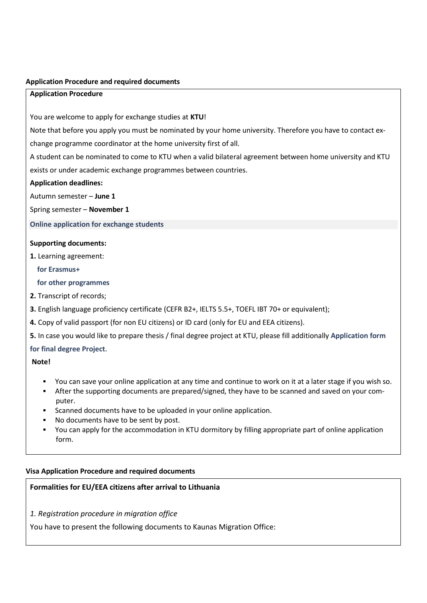#### **Application Procedure and required documents**

#### **Application Procedure**

You are welcome to apply for exchange studies at **KTU**!

Note that before you apply you must be nominated by your home university. Therefore you have to contact ex-

change programme coordinator at the home university first of all.

A student can be nominated to come to KTU when a valid bilateral agreement between home university and KTU exists or under academic exchange programmes between countries.

#### **Application deadlines:**

Autumn semester – **June 1**

Spring semester – **November 1**

**Online [application](https://exchange.ktu.edu/) for exchange students**

#### **Supporting documents:**

**1.** Learning agreement:

#### **for [Erasmus+](http://ktu.edu/uploads/files/TRD/Erasmus%2B_Learning_Agreement_2015.docx)**

#### **for other [programmes](http://ktu.edu/uploads/files/TRD/Learning_agreement.doc)**

- **2.** Transcript of records;
- **3.** English language proficiency certificate (CEFR B2+, IELTS 5.5+, TOEFL IBT 70+ or equivalent);
- **4.** Copy of valid passport (for non EU citizens) or ID card (only for EU and EEA citizens).
- **5.** In case you would like to prepare thesis / final degree project at KTU, please fill additionally **[Application](http://ktu.edu/uploads/files/TRD/KTU_application_for_final_degree_project.doc) for[m](http://ktu.edu/uploads/files/TRD/KTU_application_for_final_degree_project.doc) for final degree [Project](http://ktu.edu/uploads/files/TRD/KTU_application_for_final_degree_project.doc)**.

#### **Note!**

- You can save your online application at any time and continue to work on it at a later stage if you wish so.
- After the supporting documents are prepared/signed, they have to be scanned and saved on your computer.
- Scanned documents have to be uploaded in your online application.
- No documents have to be sent by post.
- You can apply for the accommodation in KTU dormitory by filling appropriate part of online application form.

#### **Visa Application Procedure and required documents**

## **Formalities for EU/EEA citizens after arrival to Lithuania**

*1. Registration procedure in migration office*

You have to present the following documents to Kaunas Migration Office: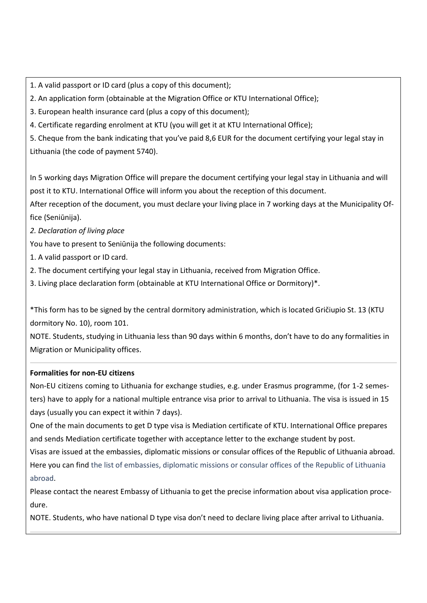1. A valid passport or ID card (plus a copy of this document);

2. An application form (obtainable at the Migration Office or KTU International Office);

3. European health insurance card (plus a copy of this document);

4. Certificate regarding enrolment at KTU (you will get it at KTU International Office);

5. Cheque from the bank indicating that you've paid 8,6 EUR for the document certifying your legal stay in

Lithuania (the code of payment 5740).

In 5 working days Migration Office will prepare the document certifying your legal stay in Lithuania and will post it to KTU. International Office will inform you about the reception of this document.

After reception of the document, you must declare your living place in 7 working days at the Municipality Office (Seniūnija).

*2. Declaration of living place*

You have to present to Seniūnija the following documents:

- 1. A valid passport or ID card.
- 2. The document certifying your legal stay in Lithuania, received from Migration Office.
- 3. Living place declaration form (obtainable at KTU International Office or Dormitory)\*.

\*This form has to be signed by the central dormitory administration, which is located Gričiupio St. 13 (KTU dormitory No. 10), room 101.

NOTE. Students, studying in Lithuania less than 90 days within 6 months, don't have to do any formalities in Migration or Municipality offices.

## **Formalities for non-EU citizens**

Non-EU citizens coming to Lithuania for exchange studies, e.g. under Erasmus programme, (for 1-2 semesters) have to apply for a national multiple entrance visa prior to arrival to Lithuania. The visa is issued in 15 days (usually you can expect it within 7 days).

One of the main documents to get D type visa is Mediation certificate of KTU. International Office prepares and sends Mediation certificate together with acceptance letter to the exchange student by post.

Visas are issued at the embassies, diplomatic missions or consular offices of the Republic of Lithuania abroad. Here you can find the list [of embassies, diplomatic](http://www.urm.lt/l.php?tmpl_into%5b0%5d=index&tmpl_name%5b0%5d=m_site_index106&tmpl_into%5b1%5d=middle&tmpl_name%5b1%5d=m_urm_lt_list) missions or consular offices of the Republic of Lithuani[a](http://www.urm.lt/l.php?tmpl_into%5b0%5d=index&tmpl_name%5b0%5d=m_site_index106&tmpl_into%5b1%5d=middle&tmpl_name%5b1%5d=m_urm_lt_list) [abroad.](http://www.urm.lt/l.php?tmpl_into%5b0%5d=index&tmpl_name%5b0%5d=m_site_index106&tmpl_into%5b1%5d=middle&tmpl_name%5b1%5d=m_urm_lt_list)

Please contact the nearest Embassy of Lithuania to get the precise information about visa application procedure.

NOTE. Students, who have national D type visa don't need to declare living place after arrival to Lithuania.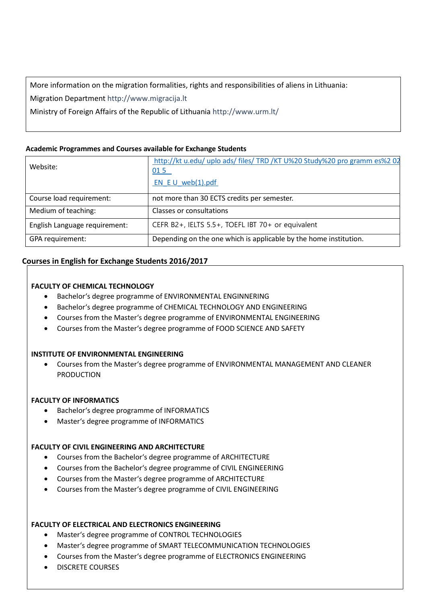More information on the migration formalities, rights and responsibilities of aliens in Lithuania:

Migration Department [http://www.migracija.lt](http://www.migracija.lt/)

Ministry of Foreign Affairs of the Republic of Lithuania <http://www.urm.lt/>

## **Academic Programmes and Courses available for Exchange Students**

| Website:                      | http://kt u.edu/ uplo ads/ files/ TRD /KT U%20 Study%20 pro gramm es%2 02<br>015 |
|-------------------------------|----------------------------------------------------------------------------------|
|                               | EN $E U$ web(1).pdf                                                              |
| Course load requirement:      | not more than 30 ECTS credits per semester.                                      |
| Medium of teaching:           | Classes or consultations                                                         |
| English Language requirement: | CEFR B2+, IELTS 5.5+, TOEFL IBT 70+ or equivalent                                |
| GPA requirement:              | Depending on the one which is applicable by the home institution.                |

## **Courses in English for Exchange Students 2016/2017**

## **FACULTY OF CHEMICAL TECHNOLOGY**

- Bachelor's degree programme of ENVIRONMENTAL ENGINNERING
- Bachelor's degree programme of CHEMICAL TECHNOLOGY AND ENGINEERING
- Courses from the Master's degree programme of ENVIRONMENTAL ENGINEERING
- Courses from the Master's degree programme of FOOD SCIENCE AND SAFETY

## **INSTITUTE OF ENVIRONMENTAL ENGINEERING**

 Courses from the Master's degree programme of ENVIRONMENTAL MANAGEMENT AND CLEANER PRODUCTION

## **FACULTY OF INFORMATICS**

- Bachelor's degree programme of INFORMATICS
- Master's degree programme of INFORMATICS

## **FACULTY OF CIVIL ENGINEERING AND ARCHITECTURE**

- Courses from the Bachelor's degree programme of ARCHITECTURE
- Courses from the Bachelor's degree programme of CIVIL ENGINEERING
- Courses from the Master's degree programme of ARCHITECTURE
- Courses from the Master's degree programme of CIVIL ENGINEERING

## **FACULTY OF ELECTRICAL AND ELECTRONICS ENGINEERING**

- Master's degree programme of CONTROL TECHNOLOGIES
- Master's degree programme of SMART TELECOMMUNICATION TECHNOLOGIES
- Courses from the Master's degree programme of ELECTRONICS ENGINEERING
- DISCRETE COURSES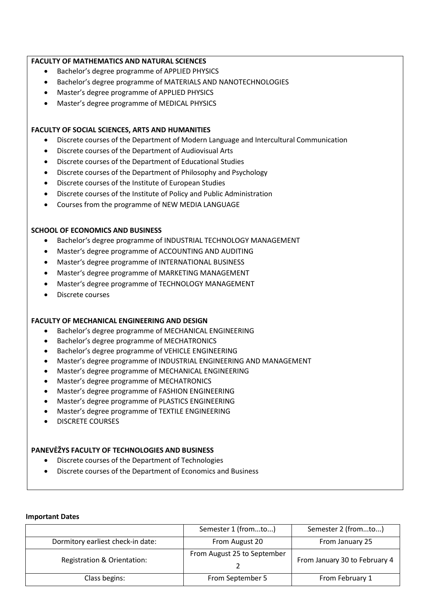## **FACULTY OF MATHEMATICS AND NATURAL SCIENCES**

- Bachelor's degree programme of APPLIED PHYSICS
- Bachelor's degree programme of MATERIALS AND NANOTECHNOLOGIES
- Master's degree programme of APPLIED PHYSICS
- Master's degree programme of MEDICAL PHYSICS

#### **FACULTY OF SOCIAL SCIENCES, ARTS AND HUMANITIES**

- Discrete courses of the Department of Modern Language and Intercultural Communication
- Discrete courses of the Department of Audiovisual Arts
- Discrete courses of the Department of Educational Studies
- Discrete courses of the Department of Philosophy and Psychology
- Discrete courses of the Institute of European Studies
- Discrete courses of the Institute of Policy and Public Administration
- Courses from the programme of NEW MEDIA LANGUAGE

#### **SCHOOL OF ECONOMICS AND BUSINESS**

- Bachelor's degree programme of INDUSTRIAL TECHNOLOGY MANAGEMENT
- Master's degree programme of ACCOUNTING AND AUDITING
- Master's degree programme of INTERNATIONAL BUSINESS
- Master's degree programme of MARKETING MANAGEMENT
- Master's degree programme of TECHNOLOGY MANAGEMENT
- Discrete courses

#### **FACULTY OF MECHANICAL ENGINEERING AND DESIGN**

- Bachelor's degree programme of MECHANICAL ENGINEERING
- Bachelor's degree programme of MECHATRONICS
- Bachelor's degree programme of VEHICLE ENGINEERING
- Master's degree programme of INDUSTRIAL ENGINEERING AND MANAGEMENT
- Master's degree programme of MECHANICAL ENGINEERING
- Master's degree programme of MECHATRONICS
- Master's degree programme of FASHION ENGINEERING
- Master's degree programme of PLASTICS ENGINEERING
- Master's degree programme of TEXTILE ENGINEERING
- DISCRETE COURSES

#### **PANEVĖŽYS FACULTY OF TECHNOLOGIES AND BUSINESS**

- Discrete courses of the Department of Technologies
- Discrete courses of the Department of Economics and Business

#### **Important Dates**

|                                   | Semester 1 (fromto)         | Semester 2 (fromto)           |
|-----------------------------------|-----------------------------|-------------------------------|
| Dormitory earliest check-in date: | From August 20              | From January 25               |
| Registration & Orientation:       | From August 25 to September | From January 30 to February 4 |
| Class begins:                     | From September 5            | From February 1               |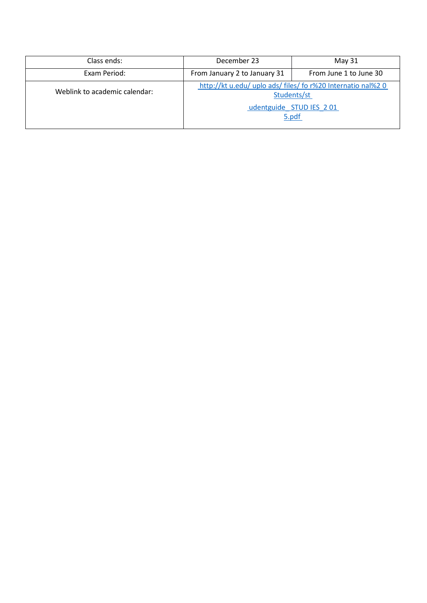| Class ends:                   | December 23                  | May 31                                                                      |
|-------------------------------|------------------------------|-----------------------------------------------------------------------------|
| Exam Period:                  | From January 2 to January 31 | From June 1 to June 30                                                      |
| Weblink to academic calendar: |                              | http://kt u.edu/ uplo ads/ files/ fo r%20 Internatio nal%2 0<br>Students/st |
|                               |                              | udentguide STUD IES 201<br>5.pdf                                            |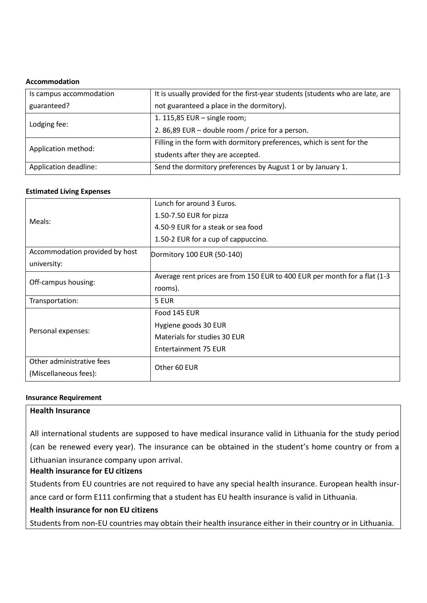#### **Accommodation**

| Is campus accommodation | It is usually provided for the first-year students (students who are late, are |  |
|-------------------------|--------------------------------------------------------------------------------|--|
| guaranteed?             | not guaranteed a place in the dormitory).                                      |  |
| Lodging fee:            | 1. 115,85 EUR - single room;                                                   |  |
|                         | 2.86,89 EUR – double room / price for a person.                                |  |
| Application method:     | Filling in the form with dormitory preferences, which is sent for the          |  |
|                         | students after they are accepted.                                              |  |
| Application deadline:   | Send the dormitory preferences by August 1 or by January 1.                    |  |

#### **Estimated Living Expenses**

| Meals:                         | Lunch for around 3 Euros.                                                 |  |
|--------------------------------|---------------------------------------------------------------------------|--|
|                                | 1.50-7.50 EUR for pizza                                                   |  |
|                                | 4.50-9 EUR for a steak or sea food                                        |  |
|                                | 1.50-2 EUR for a cup of cappuccino.                                       |  |
| Accommodation provided by host | Dormitory 100 EUR (50-140)                                                |  |
| university:                    |                                                                           |  |
| Off-campus housing:            | Average rent prices are from 150 EUR to 400 EUR per month for a flat (1-3 |  |
|                                | rooms).                                                                   |  |
| Transportation:                | 5 EUR                                                                     |  |
| Personal expenses:             | Food 145 EUR                                                              |  |
|                                | Hygiene goods 30 EUR                                                      |  |
|                                | Materials for studies 30 EUR                                              |  |
|                                | Entertainment 75 EUR                                                      |  |
| Other administrative fees      | Other 60 EUR                                                              |  |
| (Miscellaneous fees):          |                                                                           |  |

#### **Insurance Requirement**

## **Health Insurance**

All international students are supposed to have medical insurance valid in Lithuania for the study period (can be renewed every year). The insurance can be obtained in the student's home country or from a Lithuanian insurance company upon arrival.

## **Health insurance for EU citizens**

Students from EU countries are not required to have any special health insurance. European health insurance card or form E111 confirming that a student has EU health insurance is valid in Lithuania.

## **Health insurance for non EU citizens**

Students from non-EU countries may obtain their health insurance either in their country or in Lithuania.